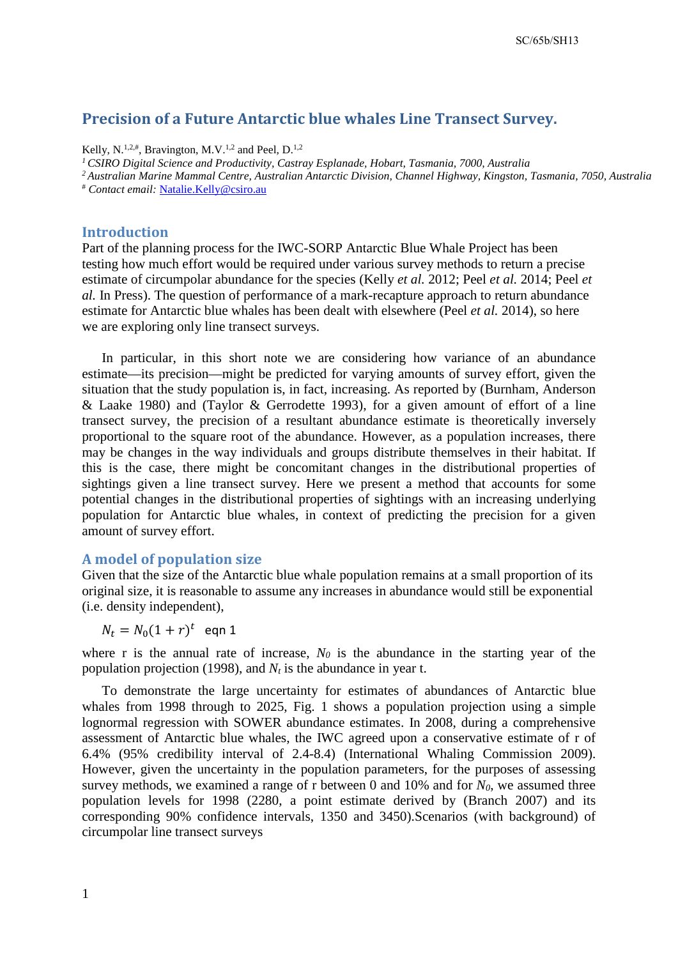# **Precision of a Future Antarctic blue whales Line Transect Survey.**

Kelly, N.<sup>1,2,#</sup>, Bravington, M.V.<sup>1,2</sup> and Peel, D.<sup>1,2</sup>

*1 CSIRO Digital Science and Productivity, Castray Esplanade, Hobart, Tasmania, 7000, Australia 2 Australian Marine Mammal Centre, Australian Antarctic Division, Channel Highway, Kingston, Tasmania, 7050, Australia* # *Contact email:* [Natalie.Kelly@csiro.au](mailto:Natalie.Kelly@csiro.au) 

#### **Introduction**

Part of the planning process for the IWC-SORP Antarctic Blue Whale Project has been testing how much effort would be required under various survey methods to return a precise estimate of circumpolar abundance for the species (Kelly *et al.* 2012; Peel *et al.* 2014; Peel *et al.* In Press). The question of performance of a mark-recapture approach to return abundance estimate for Antarctic blue whales has been dealt with elsewhere (Peel *et al.* 2014), so here we are exploring only line transect surveys.

In particular, in this short note we are considering how variance of an abundance estimate—its precision—might be predicted for varying amounts of survey effort, given the situation that the study population is, in fact, increasing. As reported by (Burnham, Anderson & Laake 1980) and (Taylor & Gerrodette 1993), for a given amount of effort of a line transect survey, the precision of a resultant abundance estimate is theoretically inversely proportional to the square root of the abundance. However, as a population increases, there may be changes in the way individuals and groups distribute themselves in their habitat. If this is the case, there might be concomitant changes in the distributional properties of sightings given a line transect survey. Here we present a method that accounts for some potential changes in the distributional properties of sightings with an increasing underlying population for Antarctic blue whales, in context of predicting the precision for a given amount of survey effort.

#### **A model of population size**

Given that the size of the Antarctic blue whale population remains at a small proportion of its original size, it is reasonable to assume any increases in abundance would still be exponential (i.e. density independent),

 $N_t = N_0(1 + r)^t$  eqn 1

where r is the annual rate of increase,  $N_0$  is the abundance in the starting year of the population projection (1998), and  $N_t$  is the abundance in year t.

To demonstrate the large uncertainty for estimates of abundances of Antarctic blue whales from 1998 through to 2025, Fig. 1 shows a population projection using a simple lognormal regression with SOWER abundance estimates. In 2008, during a comprehensive assessment of Antarctic blue whales, the IWC agreed upon a conservative estimate of r of 6.4% (95% credibility interval of 2.4-8.4) (International Whaling Commission 2009). However, given the uncertainty in the population parameters, for the purposes of assessing survey methods, we examined a range of r between 0 and 10% and for  $N_0$ , we assumed three population levels for 1998 (2280, a point estimate derived by (Branch 2007) and its corresponding 90% confidence intervals, 1350 and 3450).Scenarios (with background) of circumpolar line transect surveys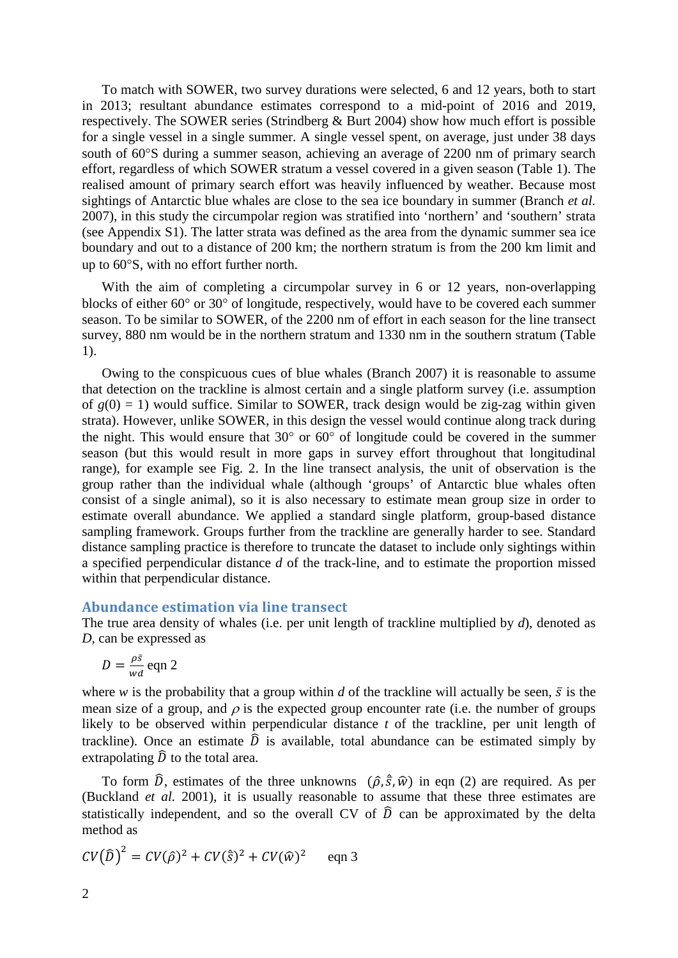To match with SOWER, two survey durations were selected, 6 and 12 years, both to start in 2013; resultant abundance estimates correspond to a mid-point of 2016 and 2019, respectively. The SOWER series (Strindberg & Burt 2004) show how much effort is possible for a single vessel in a single summer. A single vessel spent, on average, just under 38 days south of 60°S during a summer season, achieving an average of 2200 nm of primary search effort, regardless of which SOWER stratum a vessel covered in a given season (Table 1). The realised amount of primary search effort was heavily influenced by weather. Because most sightings of Antarctic blue whales are close to the sea ice boundary in summer (Branch *et al.* 2007), in this study the circumpolar region was stratified into 'northern' and 'southern' strata (see Appendix S1). The latter strata was defined as the area from the dynamic summer sea ice boundary and out to a distance of 200 km; the northern stratum is from the 200 km limit and up to 60°S, with no effort further north.

With the aim of completing a circumpolar survey in 6 or 12 years, non-overlapping blocks of either 60° or 30° of longitude, respectively, would have to be covered each summer season. To be similar to SOWER, of the 2200 nm of effort in each season for the line transect survey, 880 nm would be in the northern stratum and 1330 nm in the southern stratum (Table 1).

Owing to the conspicuous cues of blue whales (Branch 2007) it is reasonable to assume that detection on the trackline is almost certain and a single platform survey (i.e. assumption of  $g(0) = 1$ ) would suffice. Similar to SOWER, track design would be zig-zag within given strata). However, unlike SOWER, in this design the vessel would continue along track during the night. This would ensure that 30° or 60° of longitude could be covered in the summer season (but this would result in more gaps in survey effort throughout that longitudinal range), for example see Fig. 2. In the line transect analysis, the unit of observation is the group rather than the individual whale (although 'groups' of Antarctic blue whales often consist of a single animal), so it is also necessary to estimate mean group size in order to estimate overall abundance. We applied a standard single platform, group-based distance sampling framework. Groups further from the trackline are generally harder to see. Standard distance sampling practice is therefore to truncate the dataset to include only sightings within a specified perpendicular distance *d* of the track-line, and to estimate the proportion missed within that perpendicular distance.

### **Abundance estimation via line transect**

The true area density of whales (i.e. per unit length of trackline multiplied by *d*), denoted as *D*, can be expressed as

$$
D = \frac{\rho \bar{s}}{wd} \text{ eqn } 2
$$

where *w* is the probability that a group within *d* of the trackline will actually be seen,  $\bar{s}$  is the mean size of a group, and  $\rho$  is the expected group encounter rate (i.e. the number of groups likely to be observed within perpendicular distance *t* of the trackline, per unit length of trackline). Once an estimate  $\hat{D}$  is available, total abundance can be estimated simply by extrapolating  $\widehat{D}$  to the total area.

To form  $\hat{D}$ , estimates of the three unknowns  $(\hat{\rho}, \hat{\bar{s}}, \hat{w})$  in eqn (2) are required. As per (Buckland *et al.* 2001), it is usually reasonable to assume that these three estimates are statistically independent, and so the overall CV of  $\hat{D}$  can be approximated by the delta method as

$$
CV(\widehat{D})^2 = CV(\widehat{\rho})^2 + CV(\widehat{s})^2 + CV(\widehat{w})^2 \qquad \text{eqn } 3
$$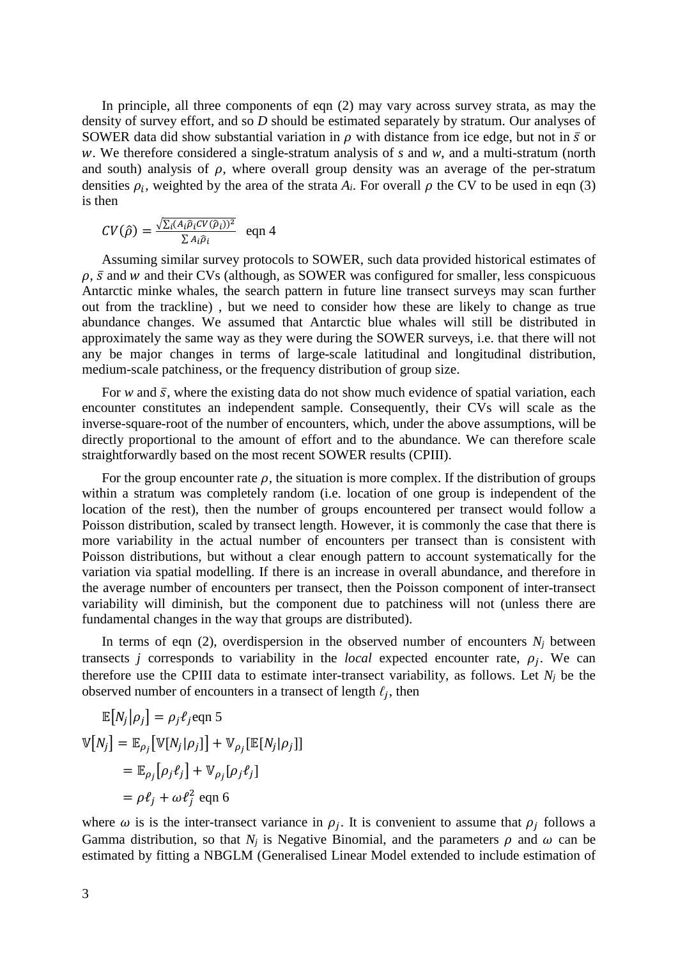In principle, all three components of eqn (2) may vary across survey strata, as may the density of survey effort, and so *D* should be estimated separately by stratum. Our analyses of SOWER data did show substantial variation in  $\rho$  with distance from ice edge, but not in  $\bar{s}$  or w. We therefore considered a single-stratum analysis of *s* and *w*, and a multi-stratum (north and south) analysis of  $\rho$ , where overall group density was an average of the per-stratum densities  $\rho_i$ , weighted by the area of the strata  $A_i$ . For overall  $\rho$  the CV to be used in eqn (3) is then

$$
CV(\hat{\rho}) = \frac{\sqrt{\sum_i (A_i \hat{\rho}_i CV(\hat{\rho}_i))^2}}{\sum A_i \hat{\rho}_i} \text{ eqn 4}
$$

Assuming similar survey protocols to SOWER, such data provided historical estimates of  $\rho$ ,  $\bar{s}$  and  $w$  and their CVs (although, as SOWER was configured for smaller, less conspicuous Antarctic minke whales, the search pattern in future line transect surveys may scan further out from the trackline) , but we need to consider how these are likely to change as true abundance changes. We assumed that Antarctic blue whales will still be distributed in approximately the same way as they were during the SOWER surveys, i.e. that there will not any be major changes in terms of large-scale latitudinal and longitudinal distribution, medium-scale patchiness, or the frequency distribution of group size.

For  $w$  and  $\bar{s}$ , where the existing data do not show much evidence of spatial variation, each encounter constitutes an independent sample. Consequently, their CVs will scale as the inverse-square-root of the number of encounters, which, under the above assumptions, will be directly proportional to the amount of effort and to the abundance. We can therefore scale straightforwardly based on the most recent SOWER results (CPIII).

For the group encounter rate  $\rho$ , the situation is more complex. If the distribution of groups within a stratum was completely random (i.e. location of one group is independent of the location of the rest), then the number of groups encountered per transect would follow a Poisson distribution, scaled by transect length. However, it is commonly the case that there is more variability in the actual number of encounters per transect than is consistent with Poisson distributions, but without a clear enough pattern to account systematically for the variation via spatial modelling. If there is an increase in overall abundance, and therefore in the average number of encounters per transect, then the Poisson component of inter-transect variability will diminish, but the component due to patchiness will not (unless there are fundamental changes in the way that groups are distributed).

In terms of eqn  $(2)$ , overdispersion in the observed number of encounters  $N_i$  between transects *j* corresponds to variability in the *local* expected encounter rate,  $\rho_i$ . We can therefore use the CPIII data to estimate inter-transect variability, as follows. Let  $N_i$  be the observed number of encounters in a transect of length  $\ell_j$ , then

$$
\mathbb{E}[N_j|\rho_j] = \rho_j \ell_j \text{eqn 5}
$$
  

$$
\mathbb{V}[N_j] = \mathbb{E}_{\rho_j} [\mathbb{V}[N_j|\rho_j]] + \mathbb{V}_{\rho_j} [\mathbb{E}[N_j|\rho_j]]]
$$
  

$$
= \mathbb{E}_{\rho_j} [\rho_j \ell_j] + \mathbb{V}_{\rho_j} [\rho_j \ell_j]
$$
  

$$
= \rho \ell_j + \omega \ell_j^2 \text{ eqn 6}
$$

where  $\omega$  is is the inter-transect variance in  $\rho_j$ . It is convenient to assume that  $\rho_j$  follows a Gamma distribution, so that  $N_i$  is Negative Binomial, and the parameters  $\rho$  and  $\omega$  can be estimated by fitting a NBGLM (Generalised Linear Model extended to include estimation of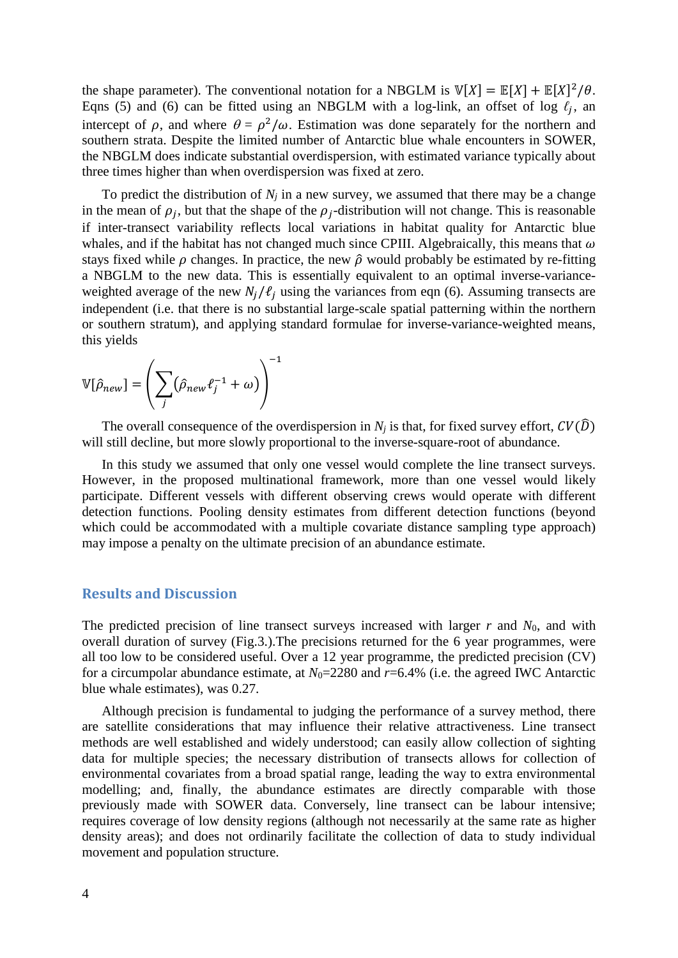the shape parameter). The conventional notation for a NBGLM is  $\mathbb{V}[X] = \mathbb{E}[X] + \mathbb{E}[X]^2/\theta$ . Eqns (5) and (6) can be fitted using an NBGLM with a log-link, an offset of log  $\ell_i$ , an intercept of  $\rho$ , and where  $\theta = \rho^2/\omega$ . Estimation was done separately for the northern and southern strata. Despite the limited number of Antarctic blue whale encounters in SOWER, the NBGLM does indicate substantial overdispersion, with estimated variance typically about three times higher than when overdispersion was fixed at zero.

To predict the distribution of  $N_j$  in a new survey, we assumed that there may be a change in the mean of  $\rho_j$ , but that the shape of the  $\rho_j$ -distribution will not change. This is reasonable if inter-transect variability reflects local variations in habitat quality for Antarctic blue whales, and if the habitat has not changed much since CPIII. Algebraically, this means that  $\omega$ stays fixed while  $\rho$  changes. In practice, the new  $\hat{\rho}$  would probably be estimated by re-fitting a NBGLM to the new data. This is essentially equivalent to an optimal inverse-varianceweighted average of the new  $N_i/\ell_i$  using the variances from eqn (6). Assuming transects are independent (i.e. that there is no substantial large-scale spatial patterning within the northern or southern stratum), and applying standard formulae for inverse-variance-weighted means, this yields

$$
\mathbb{V}[\hat{\rho}_{new}] = \left(\sum_{j} (\hat{\rho}_{new} \ell_{j}^{-1} + \omega)\right)^{-1}
$$

The overall consequence of the overdispersion in  $N_i$  is that, for fixed survey effort,  $CV(\hat{D})$ will still decline, but more slowly proportional to the inverse-square-root of abundance.

In this study we assumed that only one vessel would complete the line transect surveys. However, in the proposed multinational framework, more than one vessel would likely participate. Different vessels with different observing crews would operate with different detection functions. Pooling density estimates from different detection functions (beyond which could be accommodated with a multiple covariate distance sampling type approach) may impose a penalty on the ultimate precision of an abundance estimate.

## **Results and Discussion**

The predicted precision of line transect surveys increased with larger *r* and *N*0, and with overall duration of survey (Fig.3.).The precisions returned for the 6 year programmes, were all too low to be considered useful. Over a 12 year programme, the predicted precision (CV) for a circumpolar abundance estimate, at  $N_0$ =2280 and  $r$ =6.4% (i.e. the agreed IWC Antarctic blue whale estimates), was 0.27.

Although precision is fundamental to judging the performance of a survey method, there are satellite considerations that may influence their relative attractiveness. Line transect methods are well established and widely understood; can easily allow collection of sighting data for multiple species; the necessary distribution of transects allows for collection of environmental covariates from a broad spatial range, leading the way to extra environmental modelling; and, finally, the abundance estimates are directly comparable with those previously made with SOWER data. Conversely, line transect can be labour intensive; requires coverage of low density regions (although not necessarily at the same rate as higher density areas); and does not ordinarily facilitate the collection of data to study individual movement and population structure.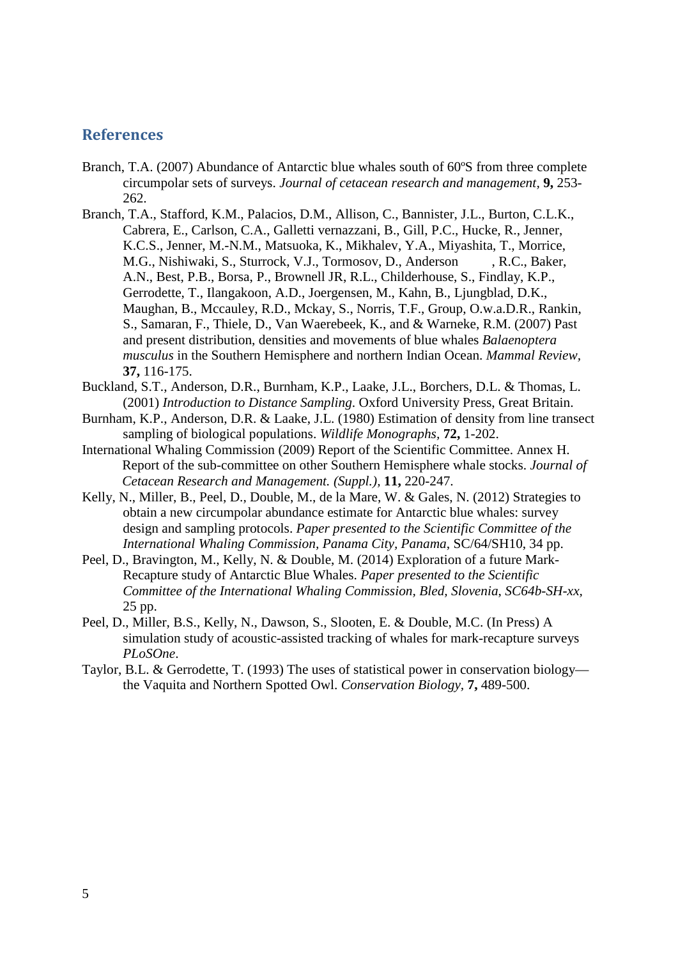# **References**

- Branch, T.A. (2007) Abundance of Antarctic blue whales south of 60ºS from three complete circumpolar sets of surveys. *Journal of cetacean research and management,* **9,** 253- 262.
- Branch, T.A., Stafford, K.M., Palacios, D.M., Allison, C., Bannister, J.L., Burton, C.L.K., Cabrera, E., Carlson, C.A., Galletti vernazzani, B., Gill, P.C., Hucke, R., Jenner, K.C.S., Jenner, M.-N.M., Matsuoka, K., Mikhalev, Y.A., Miyashita, T., Morrice, M.G., Nishiwaki, S., Sturrock, V.J., Tormosov, D., Anderson , R.C., Baker, A.N., Best, P.B., Borsa, P., Brownell JR, R.L., Childerhouse, S., Findlay, K.P., Gerrodette, T., Ilangakoon, A.D., Joergensen, M., Kahn, B., Ljungblad, D.K., Maughan, B., Mccauley, R.D., Mckay, S., Norris, T.F., Group, O.w.a.D.R., Rankin, S., Samaran, F., Thiele, D., Van Waerebeek, K., and & Warneke, R.M. (2007) Past and present distribution, densities and movements of blue whales *Balaenoptera musculus* in the Southern Hemisphere and northern Indian Ocean. *Mammal Review,* **37,** 116-175.
- Buckland, S.T., Anderson, D.R., Burnham, K.P., Laake, J.L., Borchers, D.L. & Thomas, L. (2001) *Introduction to Distance Sampling*. Oxford University Press, Great Britain.
- Burnham, K.P., Anderson, D.R. & Laake, J.L. (1980) Estimation of density from line transect sampling of biological populations. *Wildlife Monographs,* **72,** 1-202.
- International Whaling Commission (2009) Report of the Scientific Committee. Annex H. Report of the sub-committee on other Southern Hemisphere whale stocks. *Journal of Cetacean Research and Management. (Suppl.),* **11,** 220-247.
- Kelly, N., Miller, B., Peel, D., Double, M., de la Mare, W. & Gales, N. (2012) Strategies to obtain a new circumpolar abundance estimate for Antarctic blue whales: survey design and sampling protocols. *Paper presented to the Scientific Committee of the International Whaling Commission, Panama City, Panama*, SC/64/SH10, 34 pp.
- Peel, D., Bravington, M., Kelly, N. & Double, M. (2014) Exploration of a future Mark-Recapture study of Antarctic Blue Whales. *Paper presented to the Scientific Committee of the International Whaling Commission, Bled, Slovenia*, *SC64b-SH-xx,*  25 pp.
- Peel, D., Miller, B.S., Kelly, N., Dawson, S., Slooten, E. & Double, M.C. (In Press) A simulation study of acoustic-assisted tracking of whales for mark-recapture surveys *PLoSOne*.
- Taylor, B.L. & Gerrodette, T. (1993) The uses of statistical power in conservation biology the Vaquita and Northern Spotted Owl. *Conservation Biology,* **7,** 489-500.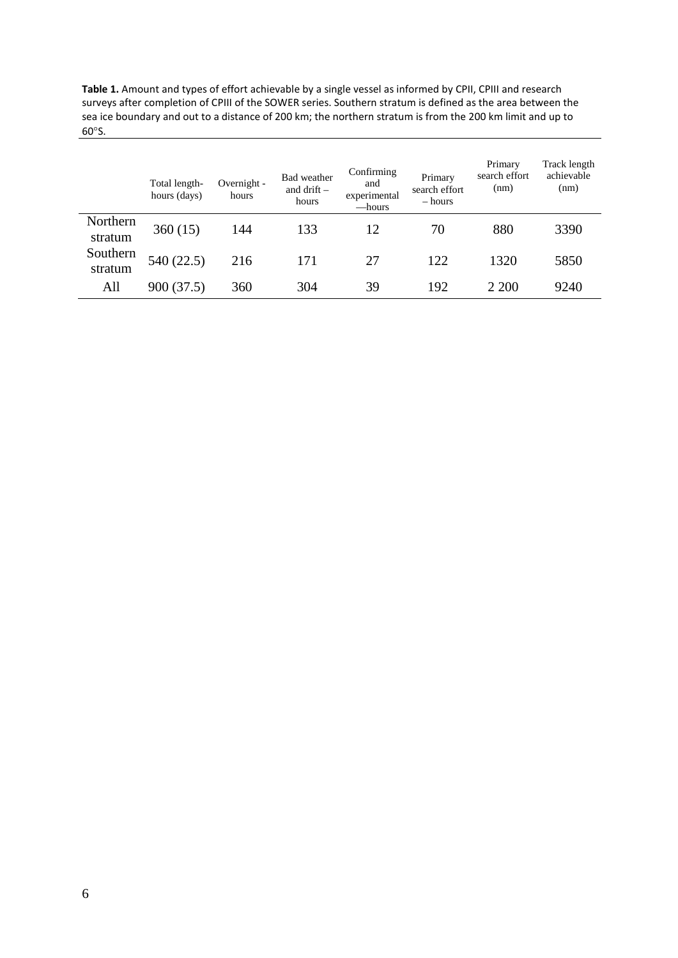**Table 1.** Amount and types of effort achievable by a single vessel as informed by CPII, CPIII and research surveys after completion of CPIII of the SOWER series. Southern stratum is defined as the area between the sea ice boundary and out to a distance of 200 km; the northern stratum is from the 200 km limit and up to 60°S.

|                     | Total length-<br>hours (days) | Overnight -<br>hours | Bad weather<br>and drift $-$<br>hours | Confirming<br>and<br>experimental<br>—hours | Primary<br>search effort<br>$-$ hours | Primary<br>search effort<br>(nm) | Track length<br>achievable<br>(nm) |  |
|---------------------|-------------------------------|----------------------|---------------------------------------|---------------------------------------------|---------------------------------------|----------------------------------|------------------------------------|--|
| Northern<br>stratum | 360(15)                       | 144                  | 133                                   | 12                                          | 70                                    | 880                              | 3390<br>5850                       |  |
| Southern<br>stratum | 540 (22.5)                    | 216                  | 171                                   | 27                                          | 122                                   | 1320                             |                                    |  |
| All                 | 900 (37.5)                    | 360                  | 304                                   | 39                                          | 192                                   | 2 2 0 0                          | 9240                               |  |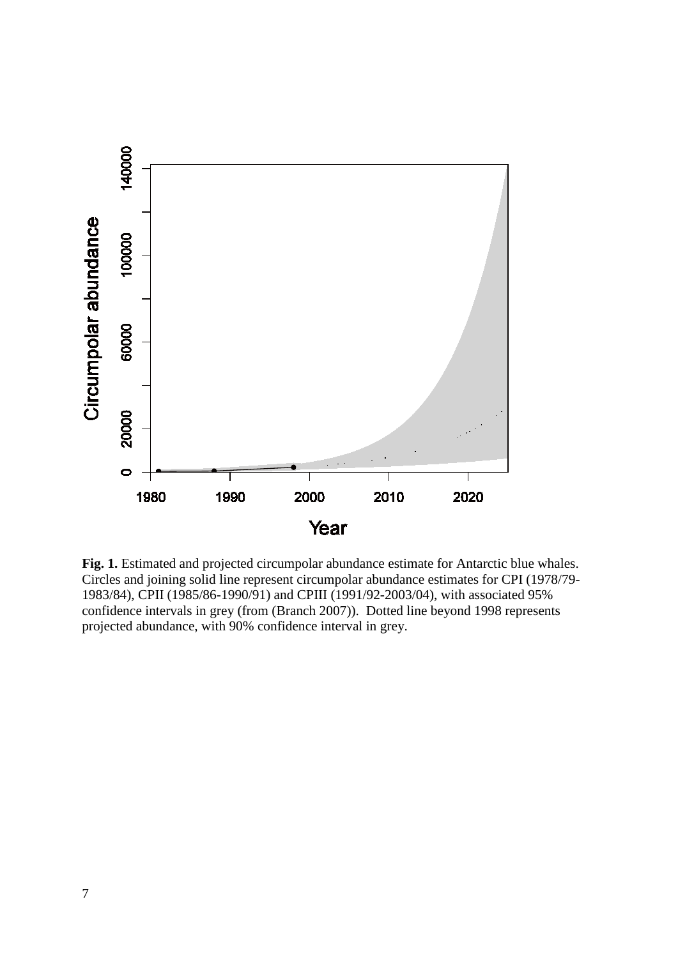

**Fig. 1.** Estimated and projected circumpolar abundance estimate for Antarctic blue whales. Circles and joining solid line represent circumpolar abundance estimates for CPI (1978/79- 1983/84), CPII (1985/86-1990/91) and CPIII (1991/92-2003/04), with associated 95% confidence intervals in grey (from (Branch 2007)). Dotted line beyond 1998 represents projected abundance, with 90% confidence interval in grey.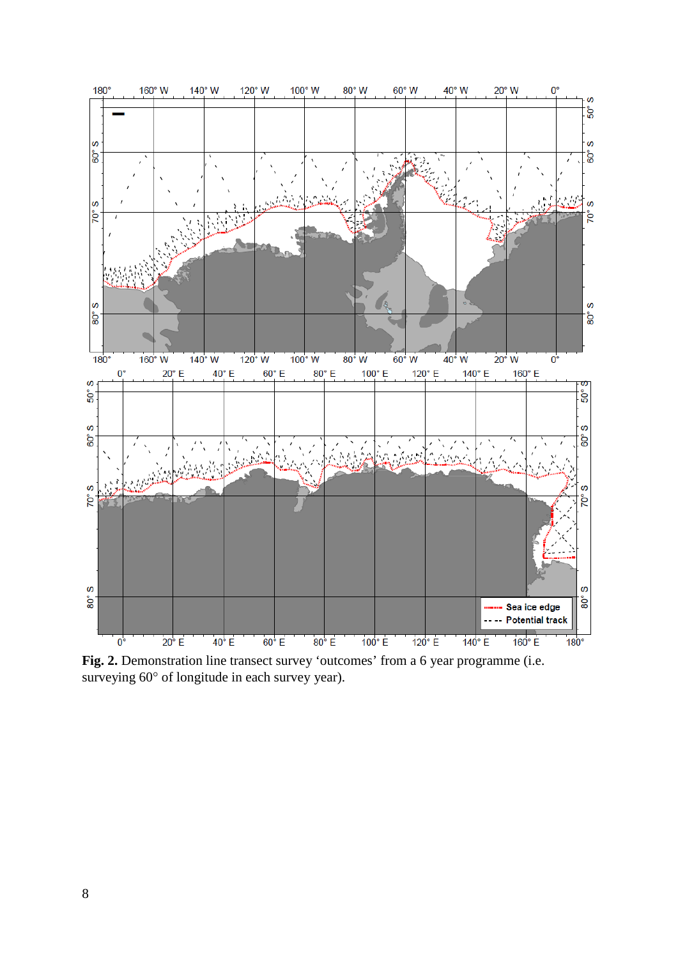

**Fig. 2.** Demonstration line transect survey 'outcomes' from a 6 year programme (i.e. surveying  $60^{\circ}$  of longitude in each survey year).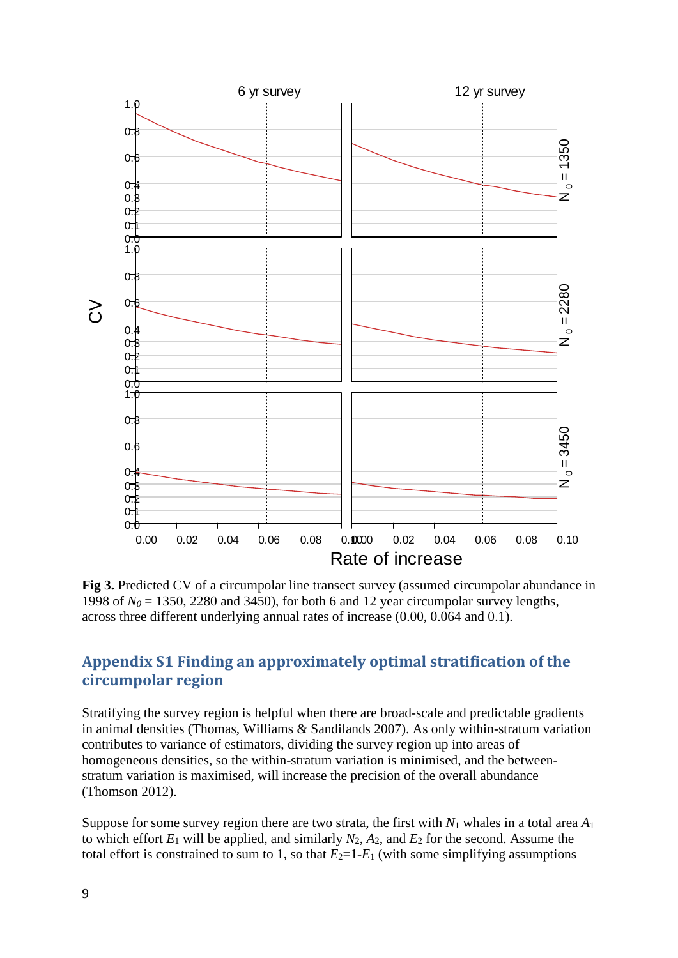

Fig 3. Predicted CV of a circumpolar line transect survey (assumed circumpolar abundance in 1998 of  $N_0$  = 1350, 2280 and 3450), for both 6 and 12 year circumpolar survey lengths, across three different underlying annual rates of increase (0.00, 0.064 and 0.1).

# **Appendix S1 Finding an approximately optimal stratification of the circumpolar region**

Stratifying the survey region is helpful when there are broad-scale and predictable gradients in animal densities (Thomas, Williams & Sandilands 2007). As only within-stratum variation contributes to variance of estimators, dividing the survey region up into areas of homogeneous densities, so the within-stratum variation is minimised, and the betweenstratum variation is maximised, will increase the precision of the overall abundance (Thomson 2012).

Suppose for some survey region there are two strata, the first with  $N_1$  whales in a total area  $A_1$ to which effort *E*<sup>1</sup> will be applied, and similarly *N*2, *A*2, and *E*<sup>2</sup> for the second. Assume the total effort is constrained to sum to 1, so that  $E_2=1-E_1$  (with some simplifying assumptions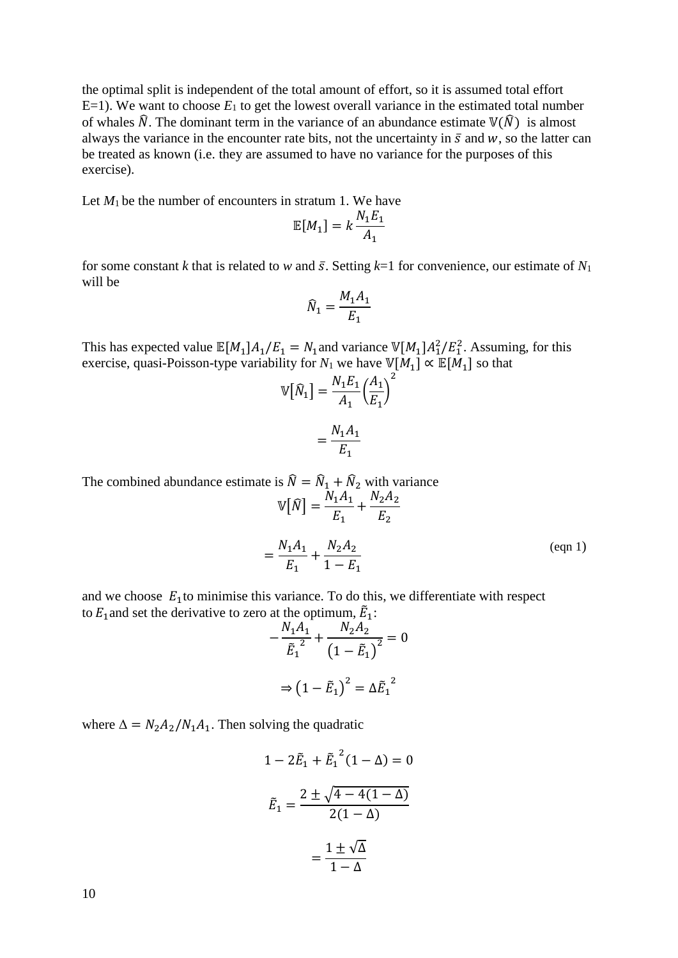the optimal split is independent of the total amount of effort, so it is assumed total effort  $E=1$ ). We want to choose  $E_1$  to get the lowest overall variance in the estimated total number of whales  $\hat{N}$ . The dominant term in the variance of an abundance estimate  $V(\hat{N})$  is almost always the variance in the encounter rate bits, not the uncertainty in  $\bar{s}$  and  $w$ , so the latter can be treated as known (i.e. they are assumed to have no variance for the purposes of this exercise).

Let  $M_1$  be the number of encounters in stratum 1. We have

$$
\mathbb{E}[M_1] = k \frac{N_1 E_1}{A_1}
$$

for some constant *k* that is related to *w* and  $\bar{s}$ . Setting  $k=1$  for convenience, our estimate of  $N_1$ will be

$$
\widehat{N}_1 = \frac{M_1 A_1}{E_1}
$$

This has expected value  $\mathbb{E}[M_1]A_1/E_1 = N_1$  and variance  $\mathbb{V}[M_1]A_1^2/E_1^2$ . Assuming, for this exercise, quasi-Poisson-type variability for *N*<sub>1</sub> we have  $\mathbb{V}[M_1] \propto \mathbb{E}[M_1]$  so that

$$
\mathbb{V}[\widehat{N}_1] = \frac{N_1 E_1}{A_1} \left(\frac{A_1}{E_1}\right)^2
$$

$$
= \frac{N_1 A_1}{E_1}
$$

The combined abundance estimate is  $\hat{N} = \hat{N}_1 + \hat{N}_2$  with variance

$$
\mathbb{V}[\hat{N}] = \frac{N_1 A_1}{E_1} + \frac{N_2 A_2}{E_2}
$$

$$
= \frac{N_1 A_1}{E_1} + \frac{N_2 A_2}{1 - E_1}
$$
(eqn 1)

and we choose  $E_1$  to minimise this variance. To do this, we differentiate with respect to  $E_1$  and set the derivative to zero at the optimum,  $\tilde{E}_1$ :

$$
-\frac{N_1A_1}{\tilde{E}_1^2} + \frac{N_2A_2}{(1-\tilde{E}_1)^2} = 0
$$

$$
\Rightarrow (1-\tilde{E}_1)^2 = \Delta \tilde{E}_1^2
$$

where  $\Delta = N_2 A_2 / N_1 A_1$ . Then solving the quadratic

$$
1 - 2\tilde{E}_1 + \tilde{E}_1^2 (1 - \Delta) = 0
$$

$$
\tilde{E}_1 = \frac{2 \pm \sqrt{4 - 4(1 - \Delta)}}{2(1 - \Delta)}
$$

$$
= \frac{1 \pm \sqrt{\Delta}}{1 - \Delta}
$$

10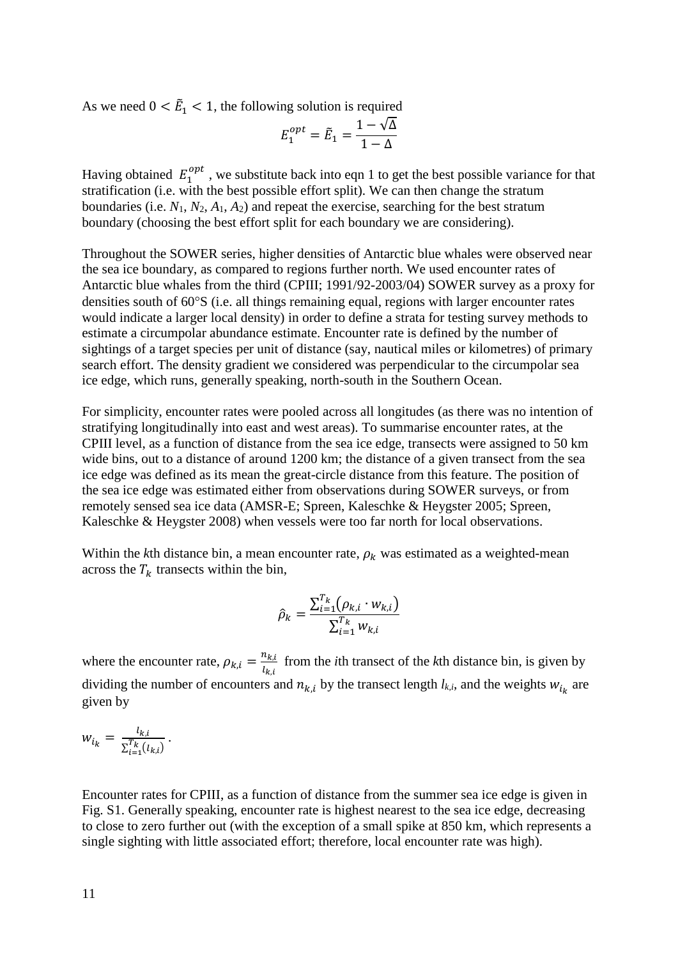As we need  $0 < \tilde{E}_1 < 1$ , the following solution is required

$$
E_1^{opt} = \tilde{E}_1 = \frac{1 - \sqrt{\Delta}}{1 - \Delta}
$$

Having obtained  $E_1^{opt}$ , we substitute back into eqn 1 to get the best possible variance for that stratification (i.e. with the best possible effort split). We can then change the stratum boundaries (i.e. *N*1, *N*2, *A*1, *A*2) and repeat the exercise, searching for the best stratum boundary (choosing the best effort split for each boundary we are considering).

Throughout the SOWER series, higher densities of Antarctic blue whales were observed near the sea ice boundary, as compared to regions further north. We used encounter rates of Antarctic blue whales from the third (CPIII; 1991/92-2003/04) SOWER survey as a proxy for densities south of 60°S (i.e. all things remaining equal, regions with larger encounter rates would indicate a larger local density) in order to define a strata for testing survey methods to estimate a circumpolar abundance estimate. Encounter rate is defined by the number of sightings of a target species per unit of distance (say, nautical miles or kilometres) of primary search effort. The density gradient we considered was perpendicular to the circumpolar sea ice edge, which runs, generally speaking, north-south in the Southern Ocean.

For simplicity, encounter rates were pooled across all longitudes (as there was no intention of stratifying longitudinally into east and west areas). To summarise encounter rates, at the CPIII level, as a function of distance from the sea ice edge, transects were assigned to 50 km wide bins, out to a distance of around 1200 km; the distance of a given transect from the sea ice edge was defined as its mean the great-circle distance from this feature. The position of the sea ice edge was estimated either from observations during SOWER surveys, or from remotely sensed sea ice data (AMSR-E; Spreen, Kaleschke & Heygster 2005; Spreen, Kaleschke & Heygster 2008) when vessels were too far north for local observations.

Within the *k*th distance bin, a mean encounter rate,  $\rho_k$  was estimated as a weighted-mean across the  $T_k$  transects within the bin,

$$
\hat{\rho}_k = \frac{\sum_{i=1}^{T_k} (\rho_{k,i} \cdot w_{k,i})}{\sum_{i=1}^{T_k} w_{k,i}}
$$

where the encounter rate,  $\rho_{k,i} = \frac{n_{k,i}}{l_{k,i}}$ from the *i*th transect of the *k*th distance bin, is given by dividing the number of encounters and  $n_{k,i}$  by the transect length  $l_{k,i}$ , and the weights  $w_{i_k}$  are given by

$$
w_{i_k} = \frac{l_{k,i}}{\sum_{i=1}^{T_k} (l_{k,i})}.
$$

Encounter rates for CPIII, as a function of distance from the summer sea ice edge is given in Fig. S1. Generally speaking, encounter rate is highest nearest to the sea ice edge, decreasing to close to zero further out (with the exception of a small spike at 850 km, which represents a single sighting with little associated effort; therefore, local encounter rate was high).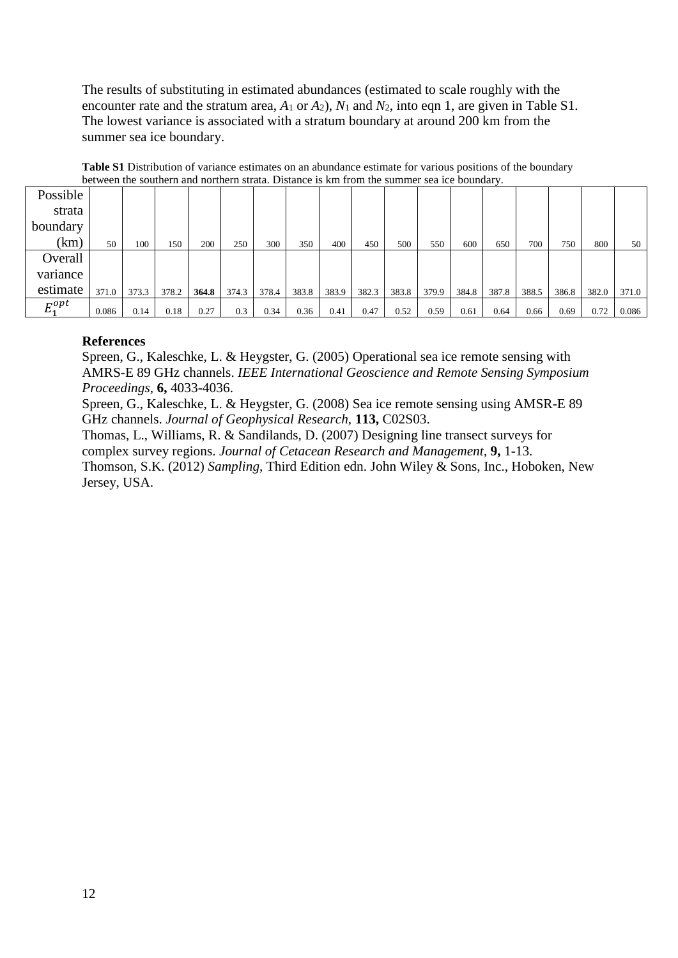The results of substituting in estimated abundances (estimated to scale roughly with the encounter rate and the stratum area, *A*<sup>1</sup> or *A*2), *N*<sup>1</sup> and *N*2, into eqn 1, are given in Table S1. The lowest variance is associated with a stratum boundary at around 200 km from the summer sea ice boundary.

| Possible    |       |       |       |       |       |       |       |       |       |       |       |       |       |       |       |       |       |
|-------------|-------|-------|-------|-------|-------|-------|-------|-------|-------|-------|-------|-------|-------|-------|-------|-------|-------|
|             |       |       |       |       |       |       |       |       |       |       |       |       |       |       |       |       |       |
| strata      |       |       |       |       |       |       |       |       |       |       |       |       |       |       |       |       |       |
| boundary    |       |       |       |       |       |       |       |       |       |       |       |       |       |       |       |       |       |
| (km)        | 50    | 100   | 150   | 200   | 250   | 300   | 350   | 400   | 450   | 500   | 550   | 600   | 650   | 700   | 750   | 800   | 50    |
| Overall     |       |       |       |       |       |       |       |       |       |       |       |       |       |       |       |       |       |
| variance    |       |       |       |       |       |       |       |       |       |       |       |       |       |       |       |       |       |
| estimate    | 371.0 | 373.3 | 378.2 | 364.8 | 374.3 | 378.4 | 383.8 | 383.9 | 382.3 | 383.8 | 379.9 | 384.8 | 387.8 | 388.5 | 386.8 | 382.0 | 371.0 |
| $E_1^{opt}$ | 0.086 | 0.14  | 0.18  | 0.27  | 0.3   | 0.34  | 0.36  | 0.41  | 0.47  | 0.52  | 0.59  | 0.61  | 0.64  | 0.66  | 0.69  | 0.72  | 0.086 |

**Table S1** Distribution of variance estimates on an abundance estimate for various positions of the boundary between the southern and northern strata. Distance is km from the summer sea ice boundary.

## **References**

Spreen, G., Kaleschke, L. & Heygster, G. (2005) Operational sea ice remote sensing with AMRS-E 89 GHz channels. *IEEE International Geoscience and Remote Sensing Symposium Proceedings,* **6,** 4033-4036.

Spreen, G., Kaleschke, L. & Heygster, G. (2008) Sea ice remote sensing using AMSR-E 89 GHz channels. *Journal of Geophysical Research,* **113,** C02S03.

Thomas, L., Williams, R. & Sandilands, D. (2007) Designing line transect surveys for complex survey regions. *Journal of Cetacean Research and Management,* **9,** 1-13. Thomson, S.K. (2012) *Sampling,* Third Edition edn. John Wiley & Sons, Inc., Hoboken, New Jersey, USA.